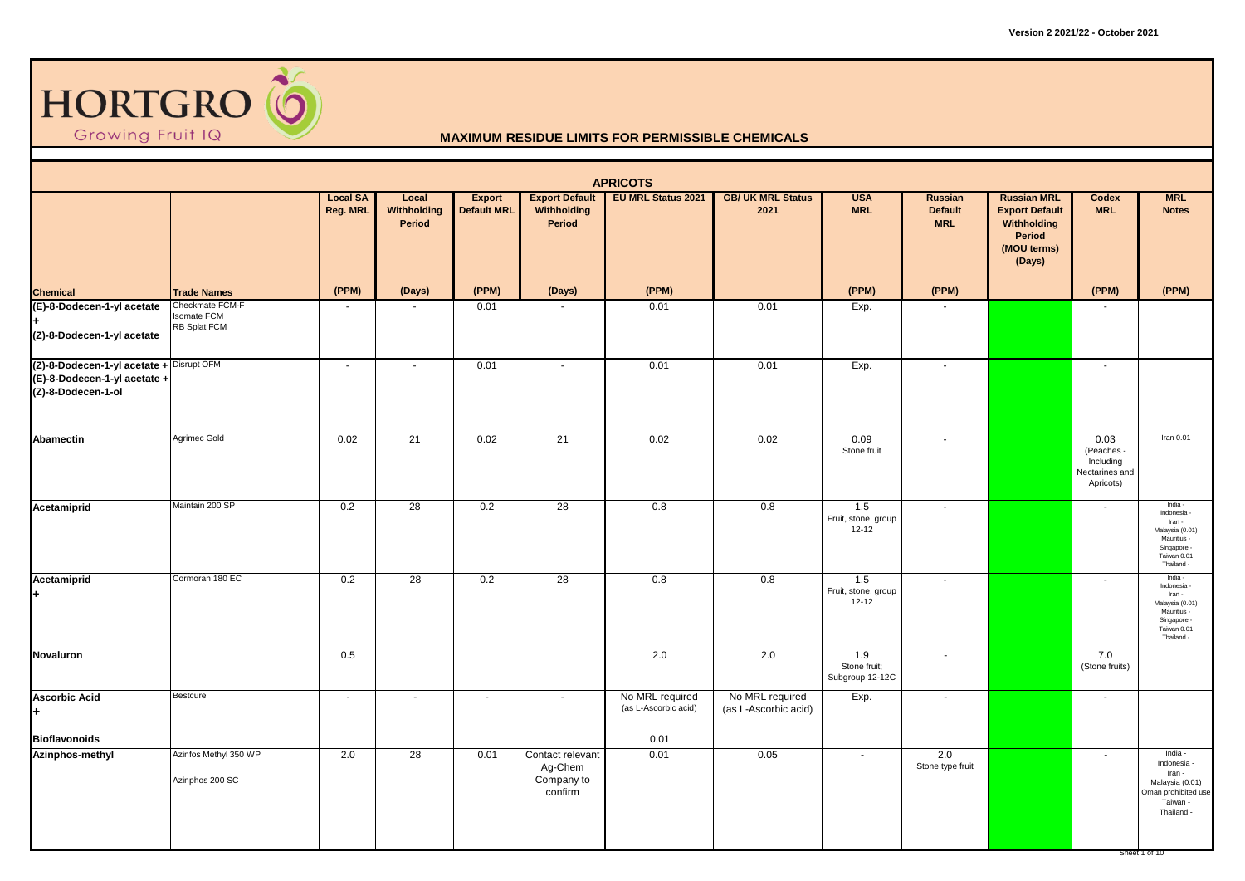

|                                                                                                |                                                       |                             |                                       |                              |                                                      | <b>APRICOTS</b>                         |                                         |                                         |                                                |                                                                                               |                                                                |                                                                                                              |
|------------------------------------------------------------------------------------------------|-------------------------------------------------------|-----------------------------|---------------------------------------|------------------------------|------------------------------------------------------|-----------------------------------------|-----------------------------------------|-----------------------------------------|------------------------------------------------|-----------------------------------------------------------------------------------------------|----------------------------------------------------------------|--------------------------------------------------------------------------------------------------------------|
|                                                                                                |                                                       | <b>Local SA</b><br>Reg. MRL | Local<br><b>Withholding</b><br>Period | Export<br><b>Default MRL</b> | <b>Export Default</b><br>Withholding<br>Period       | EU MRL Status 2021                      | <b>GB/ UK MRL Status</b><br>2021        | <b>USA</b><br><b>MRL</b>                | <b>Russian</b><br><b>Default</b><br><b>MRL</b> | <b>Russian MRL</b><br><b>Export Default</b><br>Withholding<br>Period<br>(MOU terms)<br>(Days) | Codex<br><b>MRL</b>                                            | <b>MRL</b><br><b>Notes</b>                                                                                   |
| <b>Chemical</b>                                                                                | <b>Trade Names</b>                                    | (PPM)                       | (Days)                                | (PPM)                        | (Days)                                               | (PPM)                                   |                                         | (PPM)                                   | (PPM)                                          |                                                                                               | (PPM)                                                          | (PPM)                                                                                                        |
| (E)-8-Dodecen-1-yl acetate<br>(Z)-8-Dodecen-1-yl acetate                                       | Checkmate FCM-F<br><b>Isomate FCM</b><br>RB Splat FCM | $\sim$                      | $\sim$                                | 0.01                         |                                                      | 0.01                                    | 0.01                                    | Exp.                                    |                                                |                                                                                               |                                                                |                                                                                                              |
| (Z)-8-Dodecen-1-yl acetate + Disrupt OFM<br>(E)-8-Dodecen-1-yl acetate +<br>(Z)-8-Dodecen-1-ol |                                                       | $\sim$                      | $\sim$                                | 0.01                         | $\sim$                                               | 0.01                                    | 0.01                                    | Exp.                                    | $\sim$                                         |                                                                                               | $\sim$                                                         |                                                                                                              |
| <b>Abamectin</b>                                                                               | Agrimec Gold                                          | 0.02                        | 21                                    | 0.02                         | 21                                                   | 0.02                                    | 0.02                                    | 0.09<br>Stone fruit                     | $\mathbf{r}$                                   |                                                                                               | 0.03<br>(Peaches -<br>Including<br>Nectarines and<br>Apricots) | Iran $0.01$                                                                                                  |
| Acetamiprid                                                                                    | Maintain 200 SP                                       | 0.2                         | $\overline{28}$                       | 0.2                          | $\overline{28}$                                      | 0.8                                     | 0.8                                     | 1.5<br>Fruit, stone, group<br>12-12     | $\blacksquare$                                 |                                                                                               |                                                                | India -<br>Indonesia<br>Iran -<br>Malaysia (0.01)<br>Mauritius -<br>Singapore -<br>Taiwan 0.01<br>Thailand - |
| Acetamiprid<br>$\ddot{\phantom{0}}$                                                            | Cormoran 180 EC                                       | 0.2                         | 28                                    | 0.2                          | 28                                                   | 0.8                                     | 0.8                                     | 1.5<br>Fruit, stone, group<br>$12 - 12$ | ÷                                              |                                                                                               | $\sim$                                                         | India -<br>Indonesia<br>Iran -<br>Malaysia (0.01)<br>Mauritius -<br>Singapore -<br>Taiwan 0.01<br>Thailand - |
| Novaluron                                                                                      |                                                       | 0.5                         |                                       |                              |                                                      | 2.0                                     | 2.0                                     | 1.9<br>Stone fruit;<br>Subgroup 12-12C  | $\blacksquare$                                 |                                                                                               | 7.0<br>(Stone fruits)                                          |                                                                                                              |
| <b>Ascorbic Acid</b><br>÷.                                                                     | <b>Bestcure</b>                                       | $\sim$                      | $\sim$                                | $\mathbf{r}$                 | $\sim$                                               | No MRL required<br>(as L-Ascorbic acid) | No MRL required<br>(as L-Ascorbic acid) | Exp.                                    | $\mathbf{r}$                                   |                                                                                               | $\sim$                                                         |                                                                                                              |
| <b>Bioflavonoids</b>                                                                           |                                                       |                             |                                       |                              |                                                      | 0.01                                    |                                         |                                         |                                                |                                                                                               |                                                                |                                                                                                              |
| Azinphos-methyl                                                                                | Azinfos Methyl 350 WP<br>Azinphos 200 SC              | 2.0                         | 28                                    | 0.01                         | Contact relevant<br>Ag-Chem<br>Company to<br>confirm | 0.01                                    | 0.05                                    | $\sim$                                  | 2.0<br>Stone type fruit                        |                                                                                               | $\sim$                                                         | India -<br>Indonesia -<br>Iran -<br>Malaysia (0.01)<br>Oman prohibited use<br>Taiwan -<br>Thailand -         |
|                                                                                                |                                                       |                             |                                       |                              |                                                      |                                         |                                         |                                         |                                                |                                                                                               |                                                                | Sheet 1 of 10                                                                                                |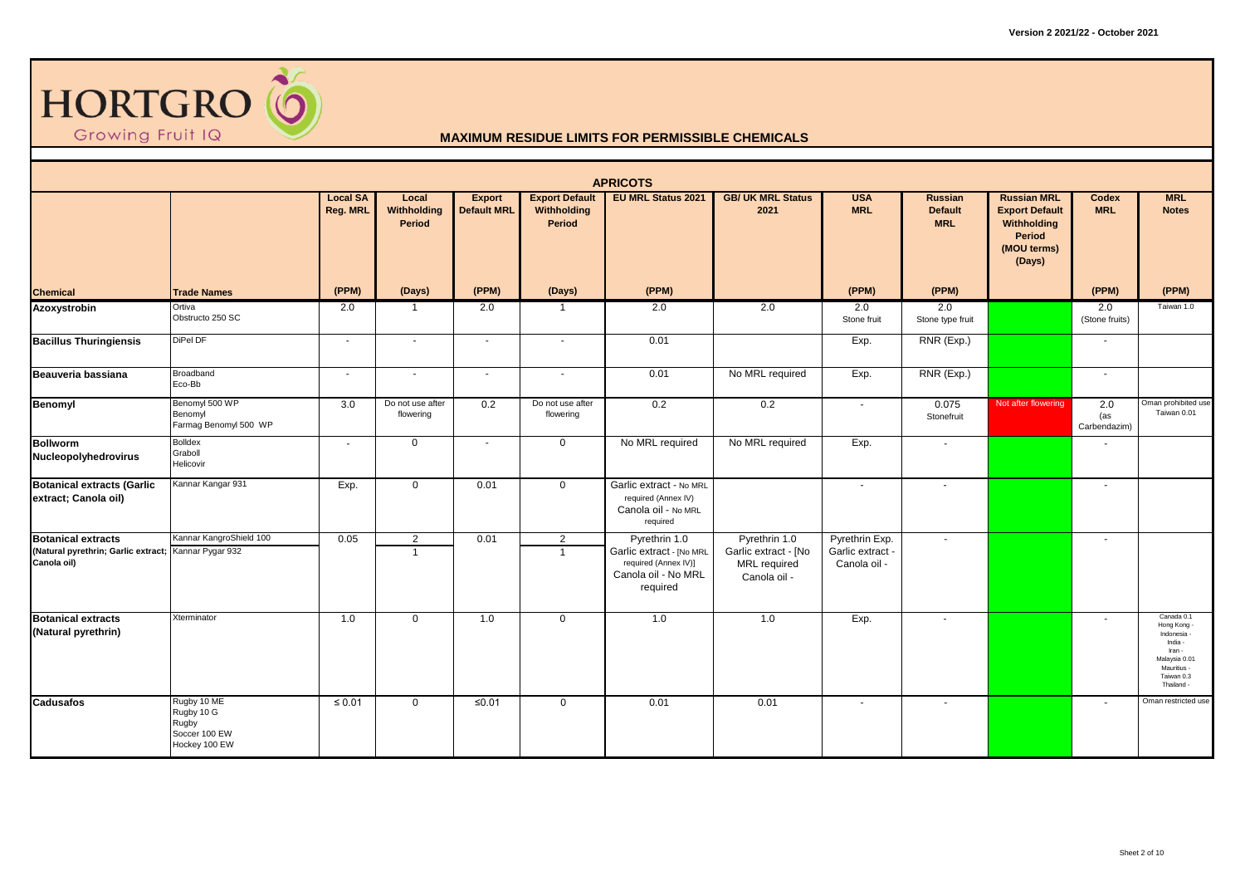

|                                                                                                  |                                                                      |                             |                                  |                                     |                                                | <b>APRICOTS</b>                                                                                      |                                                                       |                                                    |                                         |                                                                                               |                            |                                                                                                                         |
|--------------------------------------------------------------------------------------------------|----------------------------------------------------------------------|-----------------------------|----------------------------------|-------------------------------------|------------------------------------------------|------------------------------------------------------------------------------------------------------|-----------------------------------------------------------------------|----------------------------------------------------|-----------------------------------------|-----------------------------------------------------------------------------------------------|----------------------------|-------------------------------------------------------------------------------------------------------------------------|
|                                                                                                  |                                                                      | <b>Local SA</b><br>Reg. MRL | Local<br>Withholding<br>Period   | <b>Export</b><br><b>Default MRL</b> | <b>Export Default</b><br>Withholding<br>Period | <b>EU MRL Status 2021</b>                                                                            | <b>GB/ UK MRL Status</b><br>2021                                      | <b>USA</b><br><b>MRL</b>                           | Russian<br><b>Default</b><br><b>MRL</b> | <b>Russian MRL</b><br><b>Export Default</b><br>Withholding<br>Period<br>(MOU terms)<br>(Days) | <b>Codex</b><br><b>MRL</b> | <b>MRL</b><br><b>Notes</b>                                                                                              |
| <b>Chemical</b>                                                                                  | <b>Trade Names</b>                                                   | (PPM)                       | (Days)                           | (PPM)                               | (Days)                                         | (PPM)                                                                                                |                                                                       | (PPM)                                              | (PPM)                                   |                                                                                               | (PPM)                      | (PPM)                                                                                                                   |
| Azoxystrobin                                                                                     | Ortiva<br>Obstructo 250 SC                                           | 2.0                         | $\mathbf{1}$                     | 2.0                                 | $\overline{1}$                                 | 2.0                                                                                                  | 2.0                                                                   | 2.0<br>Stone fruit                                 | 2.0<br>Stone type fruit                 |                                                                                               | 2.0<br>(Stone fruits)      | Taiwan 1.0                                                                                                              |
| <b>Bacillus Thuringiensis</b>                                                                    | DiPel DF                                                             | $\sim$                      | $\sim$                           | $\sim$                              | $\sim$                                         | 0.01                                                                                                 |                                                                       | Exp.                                               | RNR (Exp.)                              |                                                                                               | $\overline{\phantom{a}}$   |                                                                                                                         |
| Beauveria bassiana                                                                               | Broadband<br>Eco-Bb                                                  | $\sim$                      | $\sim$                           | $\sim$                              | $\sim$                                         | 0.01                                                                                                 | No MRL required                                                       | Exp.                                               | RNR (Exp.)                              |                                                                                               | $\overline{\phantom{a}}$   |                                                                                                                         |
| Benomyl                                                                                          | Benomyl 500 WP<br>Benomyl<br>Farmag Benomyl 500 WP                   | 3.0                         | Do not use after<br>flowering    | 0.2                                 | Do not use after<br>flowering                  | 0.2                                                                                                  | 0.2                                                                   | $\sim$                                             | 0.075<br>Stonefruit                     | Not after flowering                                                                           | 2.0<br>(as<br>Carbendazim) | Oman prohibited use<br>Taiwan 0.01                                                                                      |
| <b>Bollworm</b><br>Nucleopolyhedrovirus                                                          | <b>Bolldex</b><br>Graboll<br>Helicovir                               | $\overline{\phantom{a}}$    | $\mathbf 0$                      | $\sim$                              | $\overline{0}$                                 | No MRL required                                                                                      | No MRL required                                                       | Exp.                                               | $\overline{\phantom{a}}$                |                                                                                               |                            |                                                                                                                         |
| <b>Botanical extracts (Garlic</b><br>extract; Canola oil)                                        | Kannar Kangar 931                                                    | Exp.                        | $\overline{0}$                   | 0.01                                | $\mathbf 0$                                    | Garlic extract - No MRL<br>required (Annex IV)<br>Canola oil - No MRL<br>required                    |                                                                       | $\sim$                                             | $\sim$                                  |                                                                                               | $\blacksquare$             |                                                                                                                         |
| <b>Botanical extracts</b><br>(Natural pyrethrin; Garlic extract; Kannar Pygar 932<br>Canola oil) | Kannar KangroShield 100                                              | 0.05                        | $\overline{2}$<br>$\overline{1}$ | 0.01                                | 2<br>$\overline{1}$                            | Pyrethrin 1.0<br>Garlic extract - [No MRL<br>required (Annex IV)]<br>Canola oil - No MRL<br>required | Pyrethrin 1.0<br>Garlic extract - [No<br>MRL required<br>Canola oil - | Pyrethrin Exp.<br>Garlic extract -<br>Canola oil - | $\sim$                                  |                                                                                               | $\sim$                     |                                                                                                                         |
| <b>Botanical extracts</b><br>(Natural pyrethrin)                                                 | Xterminator                                                          | 1.0                         | $\mathbf 0$                      | 1.0                                 | $\mathbf 0$                                    | 1.0                                                                                                  | 1.0                                                                   | Exp.                                               | $\sim$                                  |                                                                                               | $\overline{\phantom{a}}$   | Canada 0.1<br>Hong Kong -<br>Indonesia<br>India -<br>Iran -<br>Malaysia 0.01<br>Mauritius -<br>Taiwan 0.3<br>Thailand - |
| <b>Cadusafos</b>                                                                                 | Rugby 10 ME<br>Rugby 10 G<br>Rugby<br>Soccer 100 EW<br>Hockey 100 EW | $\leq 0.01$                 | $\mathbf 0$                      | $≤0.01$                             | $\mathbf 0$                                    | 0.01                                                                                                 | 0.01                                                                  | $\overline{\phantom{a}}$                           | $\sim$                                  |                                                                                               | $\blacksquare$             | Oman restricted use                                                                                                     |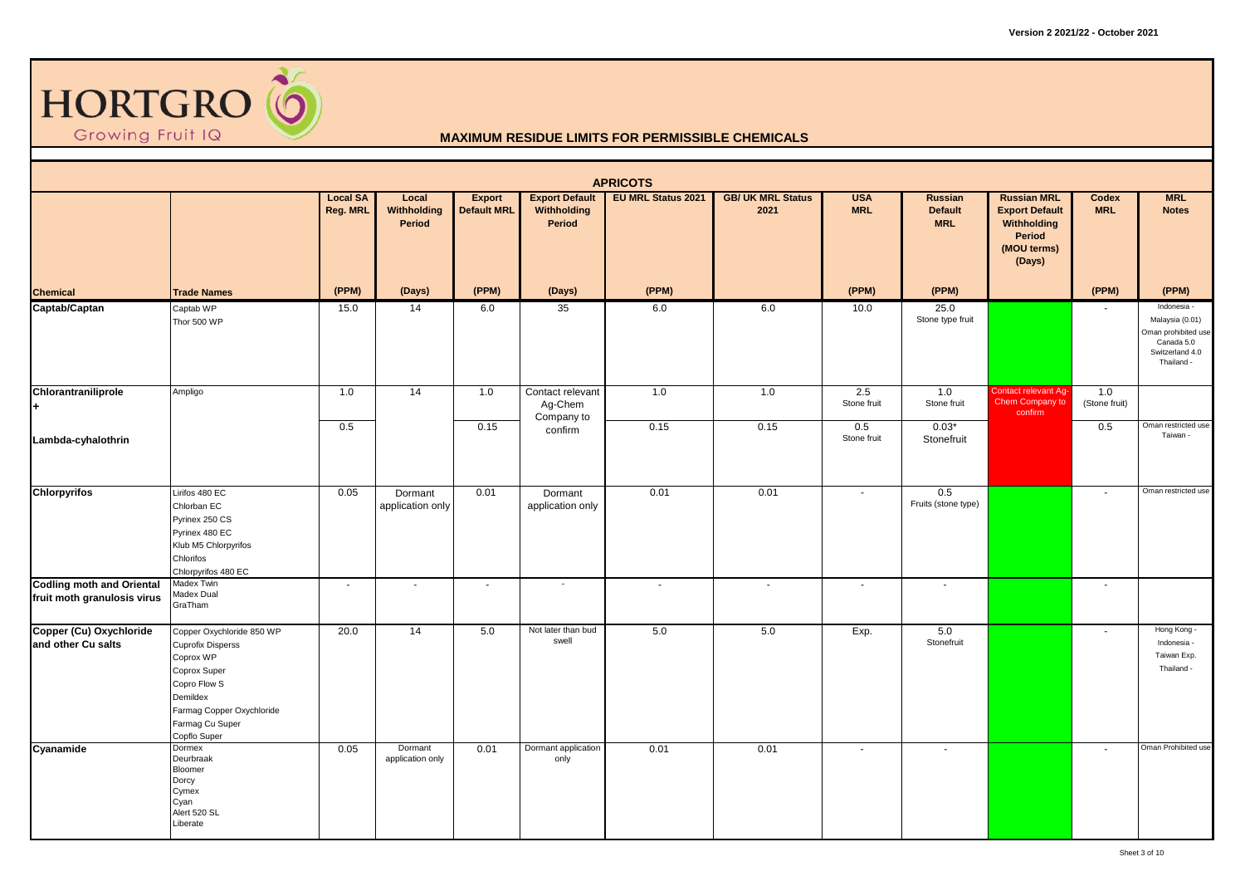

|                                                                 |                                                                                                                                                                                |                             |                                |                                     |                                                | <b>APRICOTS</b>           |                                  |                          |                                                |                                                                                               |                          |                                                                                                      |
|-----------------------------------------------------------------|--------------------------------------------------------------------------------------------------------------------------------------------------------------------------------|-----------------------------|--------------------------------|-------------------------------------|------------------------------------------------|---------------------------|----------------------------------|--------------------------|------------------------------------------------|-----------------------------------------------------------------------------------------------|--------------------------|------------------------------------------------------------------------------------------------------|
|                                                                 |                                                                                                                                                                                | <b>Local SA</b><br>Reg. MRL | Local<br>Withholding<br>Period | <b>Export</b><br><b>Default MRL</b> | <b>Export Default</b><br>Withholding<br>Period | <b>EU MRL Status 2021</b> | <b>GB/ UK MRL Status</b><br>2021 | <b>USA</b><br><b>MRL</b> | <b>Russian</b><br><b>Default</b><br><b>MRL</b> | <b>Russian MRL</b><br><b>Export Default</b><br>Withholding<br>Period<br>(MOU terms)<br>(Days) | Codex<br><b>MRL</b>      | <b>MRL</b><br><b>Notes</b>                                                                           |
| <b>Chemical</b>                                                 | <b>Trade Names</b>                                                                                                                                                             | (PPM)                       | (Days)                         | (PPM)                               | (Days)                                         | (PPM)                     |                                  | (PPM)                    | (PPM)                                          |                                                                                               | (PPM)                    | (PPM)                                                                                                |
| Captab/Captan                                                   | Captab WP<br>Thor 500 WP                                                                                                                                                       | 15.0                        | 14                             | 6.0                                 | 35                                             | 6.0                       | 6.0                              | 10.0                     | 25.0<br>Stone type fruit                       |                                                                                               |                          | Indonesia -<br>Malaysia (0.01)<br>Oman prohibited use<br>Canada 5.0<br>Switzerland 4.0<br>Thailand - |
| Chlorantraniliprole<br>+                                        | Ampligo                                                                                                                                                                        | 1.0                         | 14                             | 1.0                                 | Contact relevant<br>Ag-Chem<br>Company to      | 1.0                       | 1.0                              | 2.5<br>Stone fruit       | 1.0<br>Stone fruit                             | Contact relevant Ag-<br>Chem Company to<br>confirm                                            | 1.0<br>(Stone fruit)     |                                                                                                      |
| Lambda-cyhalothrin                                              |                                                                                                                                                                                | 0.5                         |                                | 0.15                                | confirm                                        | 0.15                      | 0.15                             | 0.5<br>Stone fruit       | $0.03*$<br>Stonefruit                          |                                                                                               | 0.5                      | Oman restricted use<br>Taiwan -                                                                      |
| <b>Chlorpyrifos</b>                                             | Lirifos 480 EC<br>Chlorban EC<br>Pyrinex 250 CS<br>Pyrinex 480 EC<br>Klub M5 Chlorpyrifos<br>Chlorifos<br>Chlorpyrifos 480 EC                                                  | 0.05                        | Dormant<br>application only    | 0.01                                | Dormant<br>application only                    | 0.01                      | 0.01                             | $\overline{\phantom{a}}$ | 0.5<br>Fruits (stone type)                     |                                                                                               | $\overline{\phantom{a}}$ | Oman restricted use                                                                                  |
| <b>Codling moth and Oriental</b><br>fruit moth granulosis virus | Madex Twin<br>Madex Dual<br>GraTham                                                                                                                                            | $\sim$                      | $\sim$                         | $\blacksquare$                      | $\overline{\phantom{a}}$                       | $\overline{\phantom{a}}$  | $\sim$                           | $\sim$                   |                                                |                                                                                               | $\overline{\phantom{a}}$ |                                                                                                      |
| Copper (Cu) Oxychloride<br>and other Cu salts                   | Copper Oxychloride 850 WP<br><b>Cuprofix Disperss</b><br>Coprox WP<br>Coprox Super<br>Copro Flow S<br>Demildex<br>Farmag Copper Oxychloride<br>Farmag Cu Super<br>Copflo Super | 20.0                        | 14                             | 5.0                                 | Not later than bud<br>swell                    | 5.0                       | 5.0                              | Exp.                     | 5.0<br>Stonefruit                              |                                                                                               | $\blacksquare$           | Hong Kong -<br>Indonesia -<br>Taiwan Exp.<br>Thailand -                                              |
| Cyanamide                                                       | Dormex<br>Deurbraak<br>Bloomer<br>Dorcy<br>Cymex<br>Cyan<br>Alert 520 SL<br>Liberate                                                                                           | 0.05                        | Dormant<br>application only    | 0.01                                | Dormant application<br>only                    | 0.01                      | 0.01                             | $\sim$                   |                                                |                                                                                               | $\sim$                   | Oman Prohibited use                                                                                  |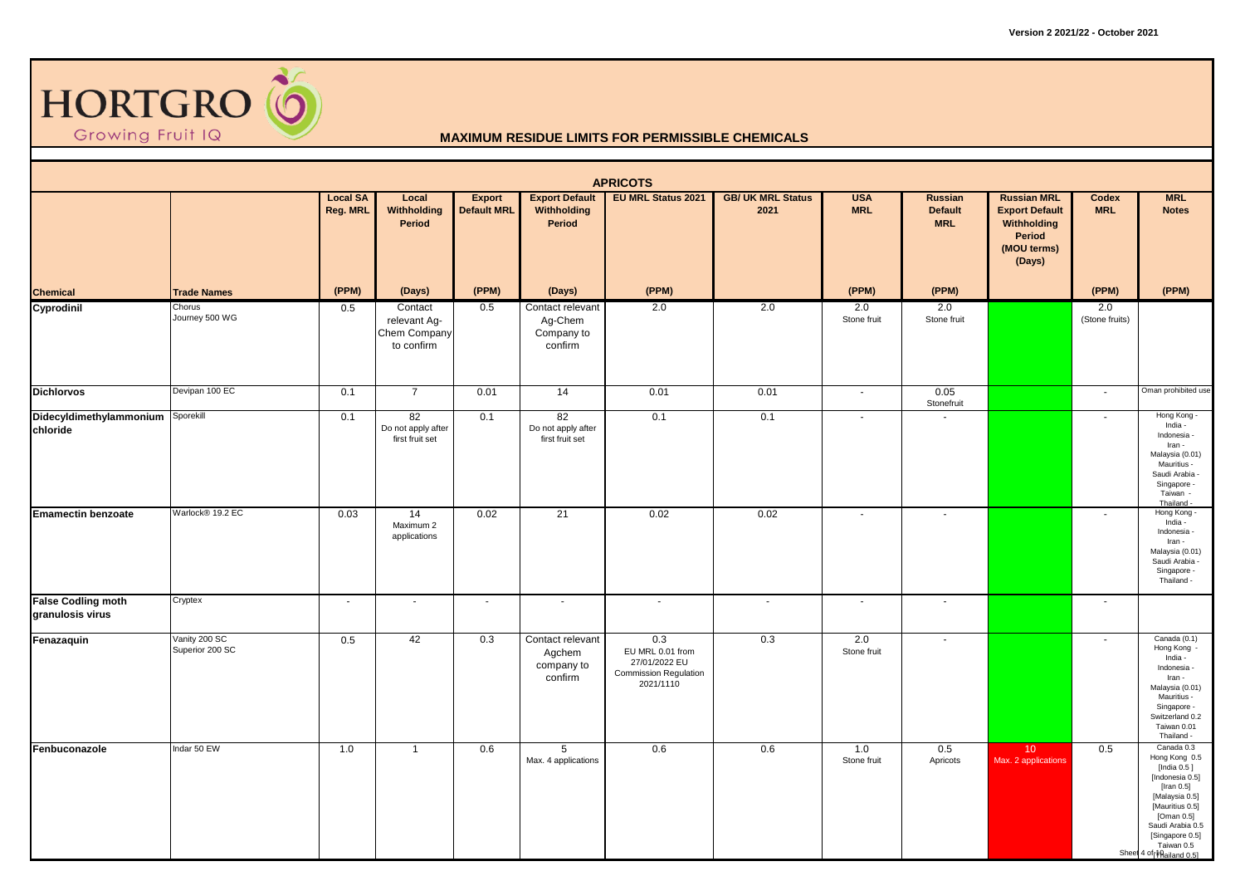

|                                               |                                  |                             |                                                       |                              |                                                      | <b>APRICOTS</b>                                                                       |                                  |                          |                                         |                                                                                               |                          |                                                                                                                                                                                                                |
|-----------------------------------------------|----------------------------------|-----------------------------|-------------------------------------------------------|------------------------------|------------------------------------------------------|---------------------------------------------------------------------------------------|----------------------------------|--------------------------|-----------------------------------------|-----------------------------------------------------------------------------------------------|--------------------------|----------------------------------------------------------------------------------------------------------------------------------------------------------------------------------------------------------------|
|                                               |                                  | <b>Local SA</b><br>Reg. MRL | Local<br>Withholding<br>Period                        | Export<br><b>Default MRL</b> | <b>Export Default</b><br>Withholding<br>Period       | <b>EU MRL Status 2021</b>                                                             | <b>GB/ UK MRL Status</b><br>2021 | <b>USA</b><br><b>MRL</b> | Russian<br><b>Default</b><br><b>MRL</b> | <b>Russian MRL</b><br><b>Export Default</b><br>Withholding<br>Period<br>(MOU terms)<br>(Days) | Codex<br><b>MRL</b>      | <b>MRL</b><br><b>Notes</b>                                                                                                                                                                                     |
| Chemical                                      | <b>Trade Names</b>               | (PPM)                       | (Days)                                                | (PPM)                        | (Days)                                               | (PPM)                                                                                 |                                  | (PPM)                    | (PPM)                                   |                                                                                               | (PPM)                    | (PPM)                                                                                                                                                                                                          |
| Cyprodinil                                    | Chorus<br>Journey 500 WG         | 0.5                         | Contact<br>relevant Ag-<br>Chem Company<br>to confirm | 0.5                          | Contact relevant<br>Ag-Chem<br>Company to<br>confirm | 2.0                                                                                   | 2.0                              | 2.0<br>Stone fruit       | 2.0<br>Stone fruit                      |                                                                                               | 2.0<br>(Stone fruits)    |                                                                                                                                                                                                                |
| <b>Dichlorvos</b>                             | Devipan 100 EC                   | 0.1                         | $\overline{7}$                                        | 0.01                         | 14                                                   | 0.01                                                                                  | 0.01                             | $\sim$                   | 0.05<br>Stonefruit                      |                                                                                               | $\sim$                   | Oman prohibited use                                                                                                                                                                                            |
| Didecyldimethylammonium<br>chloride           | Sporekill                        | 0.1                         | 82<br>Do not apply after<br>first fruit set           | 0.1                          | 82<br>Do not apply after<br>first fruit set          | 0.1                                                                                   | 0.1                              | $\sim$                   |                                         |                                                                                               | $\blacksquare$           | Hong Kong -<br>India -<br>Indonesia -<br>Iran -<br>Malaysia (0.01)<br>Mauritius -<br>Saudi Arabia -<br>Singapore -<br>Taiwan -<br>Thailand -                                                                   |
| <b>Emamectin benzoate</b>                     | Warlock® 19.2 EC                 | 0.03                        | 14<br>Maximum 2<br>applications                       | 0.02                         | $\overline{21}$                                      | 0.02                                                                                  | 0.02                             | $\sim$                   |                                         |                                                                                               | $\overline{\phantom{a}}$ | Hong Kong -<br>India -<br>Indonesia -<br>Iran -<br>Malaysia (0.01)<br>Saudi Arabia -<br>Singapore -<br>Thailand -                                                                                              |
| <b>False Codling moth</b><br>granulosis virus | Cryptex                          | $\sim$                      | $\blacksquare$                                        | $\blacksquare$               | $\sim$                                               | $\blacksquare$                                                                        | $\blacksquare$                   | $\sim$                   | $\overline{\phantom{a}}$                |                                                                                               | $\overline{\phantom{a}}$ |                                                                                                                                                                                                                |
| Fenazaquin                                    | Vanity 200 SC<br>Superior 200 SC | 0.5                         | 42                                                    | 0.3                          | Contact relevant<br>Agchem<br>company to<br>confirm  | 0.3<br>EU MRL 0.01 from<br>27/01/2022 EU<br><b>Commission Regulation</b><br>2021/1110 | 0.3                              | 2.0<br>Stone fruit       | $\blacksquare$                          |                                                                                               | $\overline{\phantom{a}}$ | Canada (0.1)<br>Hong Kong -<br>India -<br>Indonesia -<br>Iran -<br>Malaysia (0.01)<br>Mauritius -<br>Singapore -<br>Switzerland 0.2<br>Taiwan 0.01<br>Thailand -                                               |
| Fenbuconazole                                 | Indar 50 EW                      | 1.0                         | $\mathbf{1}$                                          | 0.6                          | 5<br>Max. 4 applications                             | 0.6                                                                                   | 0.6                              | 1.0<br>Stone fruit       | 0.5<br>Apricots                         | 10 <sup>°</sup><br>Max. 2 applications                                                        | 0.5                      | Canada 0.3<br>Hong Kong 0.5<br>[India 0.5]<br>[Indonesia 0.5]<br>[Iran 0.5]<br>[Malaysia 0.5]<br>[Mauritius 0.5]<br>[Oman 0.5]<br>Saudi Arabia 0.5<br>[Singapore 0.5]<br>Taiwan 0.5<br>Sheet 4 of failand 0.5] |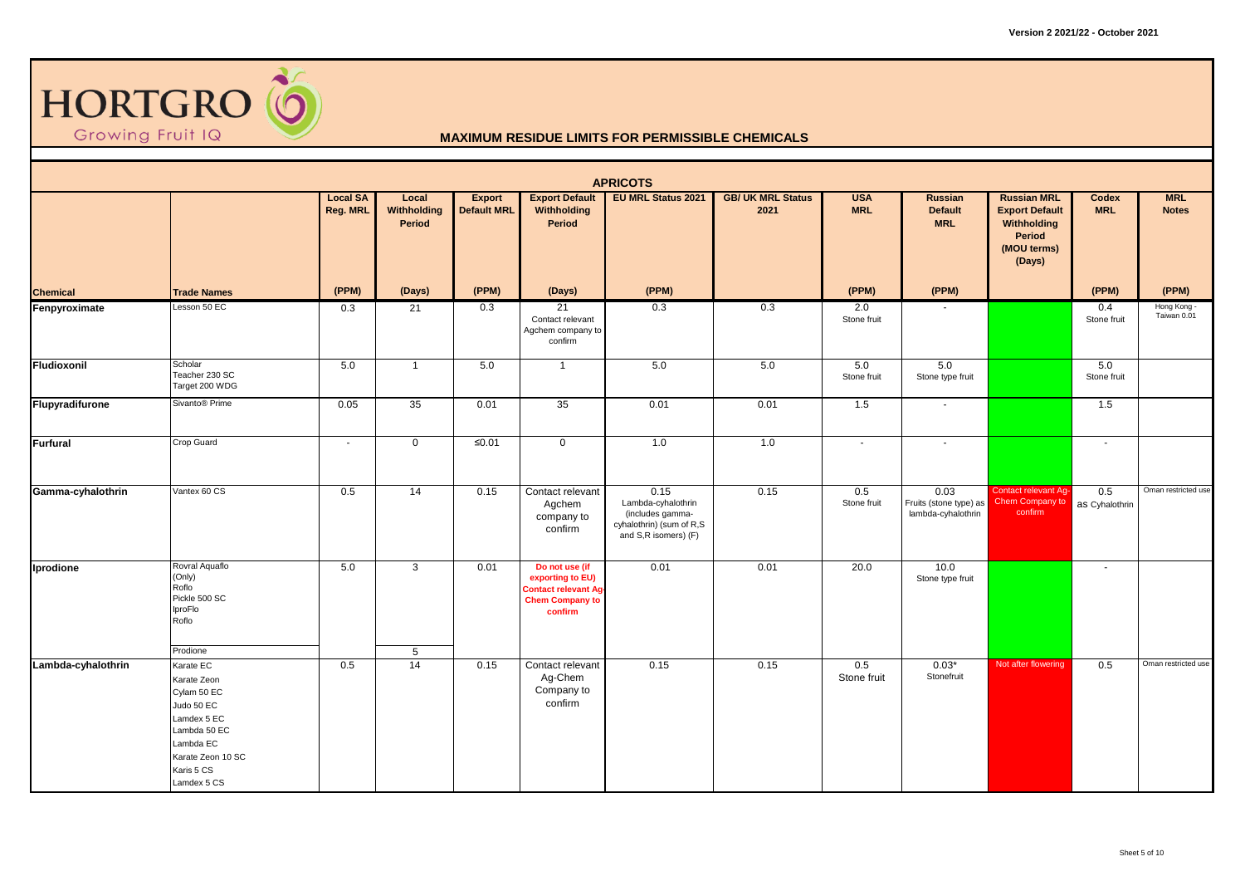

|                    |                                                                                                                                                     |                             |                                |                              |                                                                                                        | <b>APRICOTS</b>                                                                                    |                                  |                          |                                                      |                                                                                               |                          |                            |
|--------------------|-----------------------------------------------------------------------------------------------------------------------------------------------------|-----------------------------|--------------------------------|------------------------------|--------------------------------------------------------------------------------------------------------|----------------------------------------------------------------------------------------------------|----------------------------------|--------------------------|------------------------------------------------------|-----------------------------------------------------------------------------------------------|--------------------------|----------------------------|
|                    |                                                                                                                                                     | <b>Local SA</b><br>Reg. MRL | Local<br>Withholding<br>Period | Export<br><b>Default MRL</b> | <b>Export Default</b><br>Withholding<br>Period                                                         | <b>EU MRL Status 2021</b>                                                                          | <b>GB/ UK MRL Status</b><br>2021 | <b>USA</b><br><b>MRL</b> | Russian<br><b>Default</b><br><b>MRL</b>              | <b>Russian MRL</b><br><b>Export Default</b><br>Withholding<br>Period<br>(MOU terms)<br>(Days) | Codex<br><b>MRL</b>      | <b>MRL</b><br><b>Notes</b> |
| <b>Chemical</b>    | <b>Trade Names</b>                                                                                                                                  | (PPM)                       | (Days)                         | (PPM)                        | (Days)                                                                                                 | (PPM)                                                                                              |                                  | (PPM)                    | (PPM)                                                |                                                                                               | (PPM)                    | (PPM)                      |
| Fenpyroximate      | Lesson 50 EC                                                                                                                                        | 0.3                         | 21                             | 0.3                          | 21<br>Contact relevant<br>Agchem company to<br>confirm                                                 | 0.3                                                                                                | 0.3                              | 2.0<br>Stone fruit       |                                                      |                                                                                               | 0.4<br>Stone fruit       | Hong Kong -<br>Taiwan 0.01 |
| Fludioxonil        | Scholar<br>Teacher 230 SC<br>Target 200 WDG                                                                                                         | 5.0                         | $\overline{1}$                 | 5.0                          | $\overline{1}$                                                                                         | 5.0                                                                                                | 5.0                              | 5.0<br>Stone fruit       | 5.0<br>Stone type fruit                              |                                                                                               | 5.0<br>Stone fruit       |                            |
| Flupyradifurone    | Sivanto® Prime                                                                                                                                      | 0.05                        | 35                             | 0.01                         | 35                                                                                                     | 0.01                                                                                               | 0.01                             | 1.5                      |                                                      |                                                                                               | 1.5                      |                            |
| Furfural           | Crop Guard                                                                                                                                          | $\sim$                      | $\mathbf 0$                    | ≤0.01                        | $\mathbf 0$                                                                                            | 1.0                                                                                                | 1.0                              | $\sim$                   | $\sim$                                               |                                                                                               | $\overline{\phantom{a}}$ |                            |
| Gamma-cyhalothrin  | Vantex 60 CS                                                                                                                                        | 0.5                         | 14                             | 0.15                         | Contact relevant<br>Agchem<br>company to<br>confirm                                                    | 0.15<br>Lambda-cyhalothrin<br>(includes gamma-<br>cyhalothrin) (sum of R,S<br>and S,R isomers) (F) | 0.15                             | 0.5<br>Stone fruit       | 0.03<br>Fruits (stone type) as<br>lambda-cyhalothrin | Contact relevant Ag-<br>Chem Company to<br>confirm                                            | 0.5<br>as Cyhalothrin    | Oman restricted use        |
| Iprodione          | Rovral Aquaflo<br>(Only)<br>Roflo<br>Pickle 500 SC<br>IproFlo<br>Roflo                                                                              | 5.0                         | $\mathbf{3}$                   | 0.01                         | Do not use (if<br>exporting to EU)<br><b>Contact relevant Ag-</b><br><b>Chem Company to</b><br>confirm | 0.01                                                                                               | 0.01                             | 20.0                     | 10.0<br>Stone type fruit                             |                                                                                               |                          |                            |
|                    | Prodione                                                                                                                                            |                             | 5                              |                              |                                                                                                        |                                                                                                    |                                  |                          |                                                      |                                                                                               |                          |                            |
| Lambda-cyhalothrin | Karate EC<br>Karate Zeon<br>Cylam 50 EC<br>Judo 50 EC<br>Lamdex 5 EC<br>Lambda 50 EC<br>Lambda EC<br>Karate Zeon 10 SC<br>Karis 5 CS<br>Lamdex 5 CS | 0.5                         | 14                             | 0.15                         | Contact relevant<br>Ag-Chem<br>Company to<br>confirm                                                   | 0.15                                                                                               | 0.15                             | 0.5<br>Stone fruit       | $0.03*$<br>Stonefruit                                | Not after flowering                                                                           | 0.5                      | Oman restricted use        |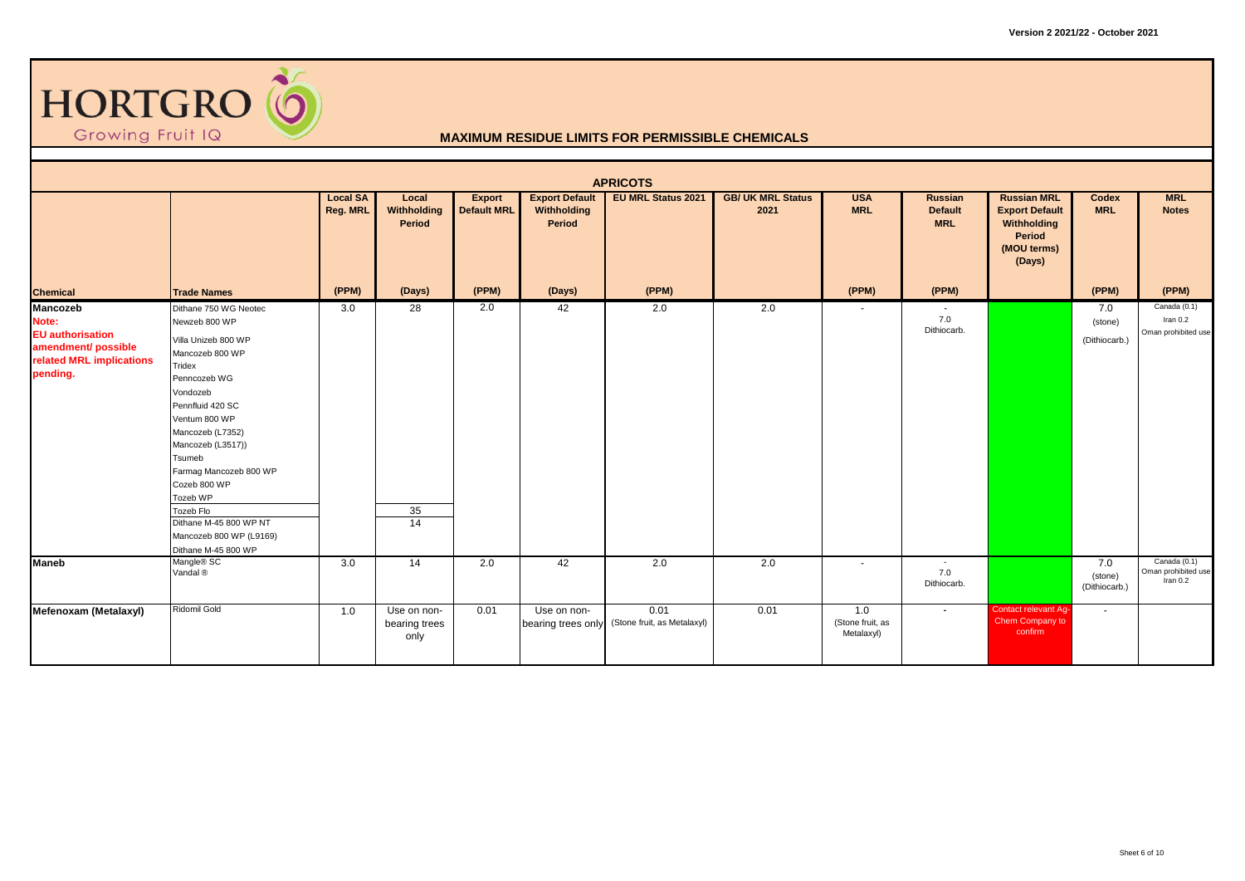

|                                                                                                             |                                                                                                                                                                                                                                                                                                                                                               |                             |                                      |                                     |                                                | <b>APRICOTS</b>                     |                                  |                                       |                                                |                                                                                               |                                 |                                                   |
|-------------------------------------------------------------------------------------------------------------|---------------------------------------------------------------------------------------------------------------------------------------------------------------------------------------------------------------------------------------------------------------------------------------------------------------------------------------------------------------|-----------------------------|--------------------------------------|-------------------------------------|------------------------------------------------|-------------------------------------|----------------------------------|---------------------------------------|------------------------------------------------|-----------------------------------------------------------------------------------------------|---------------------------------|---------------------------------------------------|
|                                                                                                             |                                                                                                                                                                                                                                                                                                                                                               | <b>Local SA</b><br>Reg. MRL | Local<br>Withholding<br>Period       | <b>Export</b><br><b>Default MRL</b> | <b>Export Default</b><br>Withholding<br>Period | <b>EU MRL Status 2021</b>           | <b>GB/ UK MRL Status</b><br>2021 | <b>USA</b><br><b>MRL</b>              | <b>Russian</b><br><b>Default</b><br><b>MRL</b> | <b>Russian MRL</b><br><b>Export Default</b><br>Withholding<br>Period<br>(MOU terms)<br>(Days) | Codex<br><b>MRL</b>             | <b>MRL</b><br><b>Notes</b>                        |
| <b>Chemical</b>                                                                                             | <b>Trade Names</b>                                                                                                                                                                                                                                                                                                                                            | (PPM)                       | (Days)                               | (PPM)                               | (Days)                                         | (PPM)                               |                                  | (PPM)                                 | (PPM)                                          |                                                                                               | (PPM)                           | (PPM)                                             |
| Mancozeb<br>Note:<br><b>EU</b> authorisation<br>amendment/ possible<br>related MRL implications<br>pending. | Dithane 750 WG Neotec<br>Newzeb 800 WP<br>Villa Unizeb 800 WP<br>Mancozeb 800 WP<br>Tridex<br>Penncozeb WG<br>Vondozeb<br>Pennfluid 420 SC<br>Ventum 800 WP<br>Mancozeb (L7352)<br>Mancozeb (L3517))<br>Tsumeb<br>Farmag Mancozeb 800 WP<br>Cozeb 800 WP<br>Tozeb WP<br>Tozeb Flo<br>Dithane M-45 800 WP NT<br>Mancozeb 800 WP (L9169)<br>Dithane M-45 800 WP | 3.0                         | 28<br>35<br>14                       | 2.0                                 | 42                                             | 2.0                                 | 2.0                              | $\overline{\phantom{a}}$              | 7.0<br>Dithiocarb.                             |                                                                                               | 7.0<br>(stone)<br>(Dithiocarb.) | Canada (0.1)<br>Iran $0.2$<br>Oman prohibited use |
| <b>Maneb</b>                                                                                                | Mangle <sup>®</sup> SC<br>Vandal <sup>®</sup>                                                                                                                                                                                                                                                                                                                 | 3.0                         | 14                                   | 2.0                                 | 42                                             | 2.0                                 | 2.0                              | $\sim$                                | $\sim$<br>7.0<br>Dithiocarb.                   |                                                                                               | 7.0<br>(stone)<br>(Dithiocarb.) | Canada (0.1)<br>Oman prohibited use<br>Iran $0.2$ |
| Mefenoxam (Metalaxyl)                                                                                       | Ridomil Gold                                                                                                                                                                                                                                                                                                                                                  | 1.0                         | Use on non-<br>bearing trees<br>only | 0.01                                | Use on non-<br>bearing trees only              | 0.01<br>(Stone fruit, as Metalaxyl) | 0.01                             | 1.0<br>(Stone fruit, as<br>Metalaxyl) | $\sim$                                         | <b>Contact relevant Ag-</b><br>Chem Company to<br>confirm                                     | $\sim$                          |                                                   |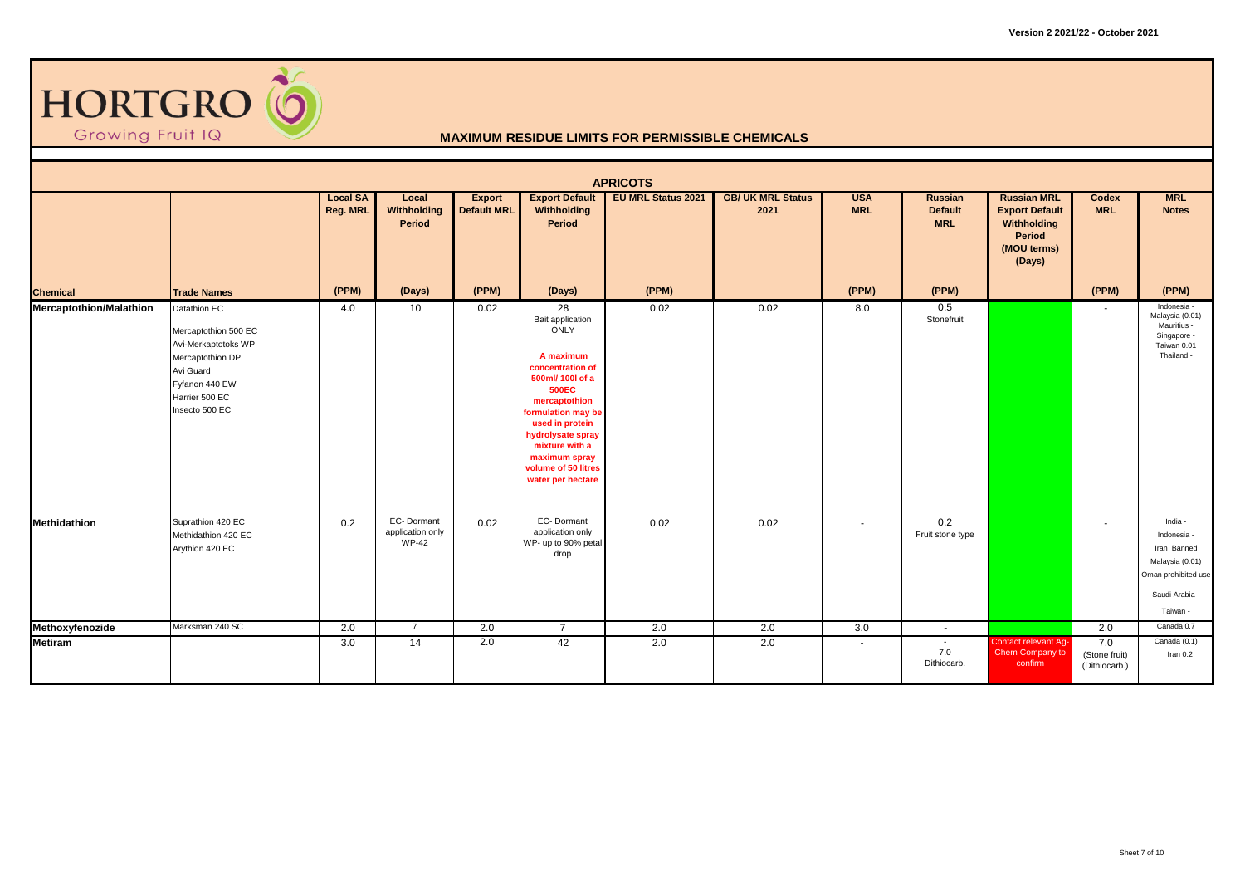

|                                |                                                                                                                                                    |                             |                                                |                                     |                                                                                                                                                                                                                                                                                | <b>APRICOTS</b>           |                                  |                          |                                                |                                                                                               |                                       |                                                                                                               |
|--------------------------------|----------------------------------------------------------------------------------------------------------------------------------------------------|-----------------------------|------------------------------------------------|-------------------------------------|--------------------------------------------------------------------------------------------------------------------------------------------------------------------------------------------------------------------------------------------------------------------------------|---------------------------|----------------------------------|--------------------------|------------------------------------------------|-----------------------------------------------------------------------------------------------|---------------------------------------|---------------------------------------------------------------------------------------------------------------|
|                                |                                                                                                                                                    | <b>Local SA</b><br>Reg. MRL | Local<br>Withholding<br>Period                 | <b>Export</b><br><b>Default MRL</b> | <b>Export Default</b><br>Withholding<br>Period                                                                                                                                                                                                                                 | <b>EU MRL Status 2021</b> | <b>GB/ UK MRL Status</b><br>2021 | <b>USA</b><br><b>MRL</b> | <b>Russian</b><br><b>Default</b><br><b>MRL</b> | <b>Russian MRL</b><br><b>Export Default</b><br>Withholding<br>Period<br>(MOU terms)<br>(Days) | Codex<br><b>MRL</b>                   | <b>MRL</b><br><b>Notes</b>                                                                                    |
| <b>Chemical</b>                | <b>Trade Names</b>                                                                                                                                 | (PPM)                       | (Days)                                         | (PPM)                               | (Days)                                                                                                                                                                                                                                                                         | (PPM)                     |                                  | (PPM)                    | (PPM)                                          |                                                                                               | (PPM)                                 | (PPM)                                                                                                         |
| <b>Mercaptothion/Malathion</b> | Datathion EC<br>Mercaptothion 500 EC<br>Avi-Merkaptotoks WP<br>Mercaptothion DP<br>Avi Guard<br>Fyfanon 440 EW<br>Harrier 500 EC<br>Insecto 500 EC | 4.0                         | 10                                             | 0.02                                | $\overline{28}$<br>Bait application<br>ONLY<br>A maximum<br>concentration of<br>500ml/ 100l of a<br><b>500EC</b><br>mercaptothion<br>formulation may be<br>used in protein<br>hydrolysate spray<br>mixture with a<br>maximum spray<br>volume of 50 litres<br>water per hectare | 0.02                      | 0.02                             | 8.0                      | 0.5<br>Stonefruit                              |                                                                                               | $\sim$                                | Indonesia -<br>Malaysia (0.01)<br>Mauritius -<br>Singapore -<br>Taiwan 0.01<br>Thailand -                     |
| Methidathion                   | Suprathion 420 EC<br>Methidathion 420 EC<br>Arythion 420 EC                                                                                        | 0.2                         | EC-Dormant<br>application only<br><b>WP-42</b> | 0.02                                | EC-Dormant<br>application only<br>WP- up to 90% petal<br>drop                                                                                                                                                                                                                  | 0.02                      | 0.02                             | $\sim$                   | 0.2<br>Fruit stone type                        |                                                                                               | $\overline{a}$                        | India -<br>Indonesia -<br>Iran Banned<br>Malaysia (0.01)<br>Oman prohibited use<br>Saudi Arabia -<br>Taiwan - |
| Methoxyfenozide                | Marksman 240 SC                                                                                                                                    | 2.0                         | $\overline{7}$                                 | 2.0                                 | $\overline{7}$                                                                                                                                                                                                                                                                 | 2.0                       | 2.0                              | 3.0                      | $\sim$                                         |                                                                                               | 2.0                                   | Canada 0.7                                                                                                    |
| <b>Metiram</b>                 |                                                                                                                                                    | 3.0                         | 14                                             | 2.0                                 | 42                                                                                                                                                                                                                                                                             | 2.0                       | 2.0                              | $\sim$                   | $\sim$<br>7.0<br>Dithiocarb.                   | <b>Contact relevant Ag-</b><br>Chem Company to<br>confirm                                     | 7.0<br>(Stone fruit)<br>(Dithiocarb.) | Canada (0.1)<br>Iran $0.2$                                                                                    |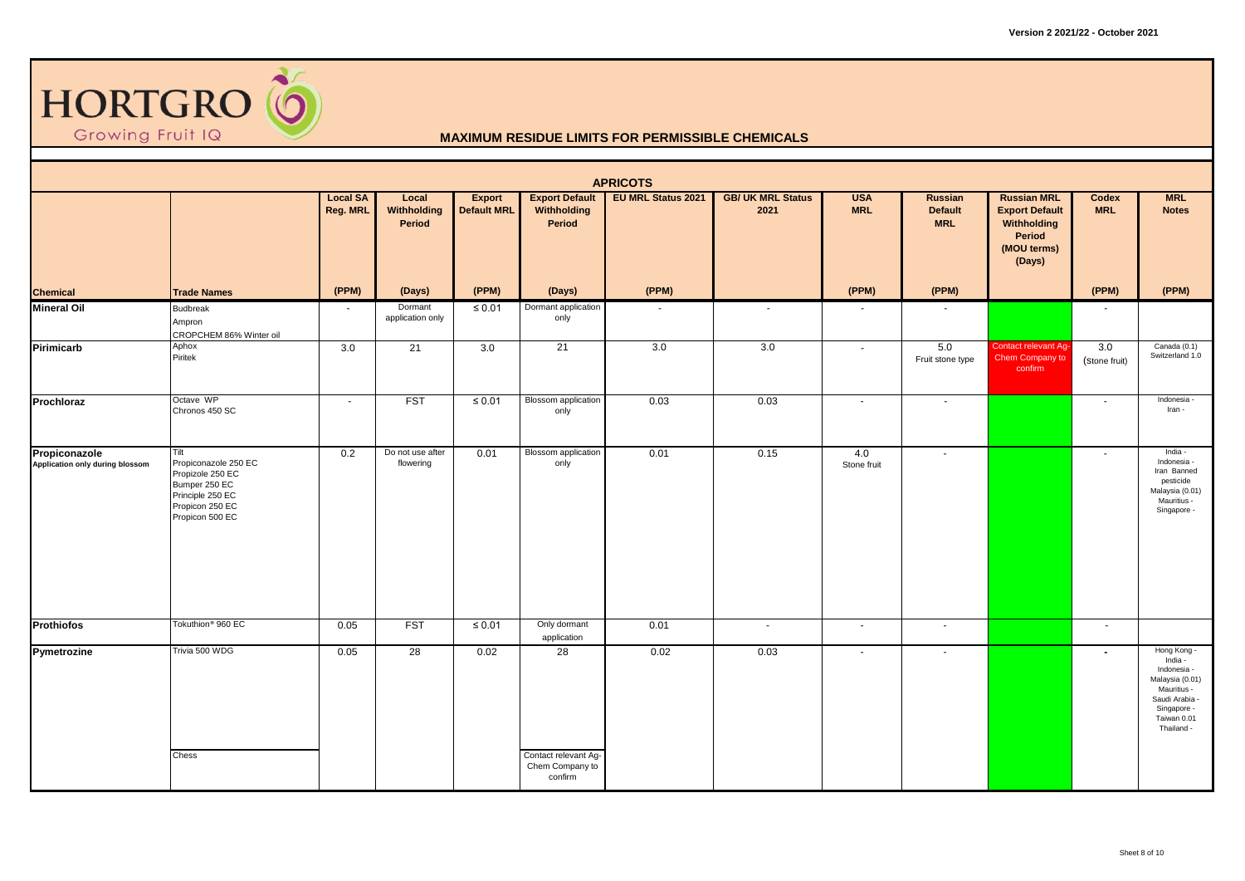

|                                                  |                                                                                                                             |                             |                                |                              |                                                          | <b>APRICOTS</b>           |                                  |                          |                                                |                                                                                               |                          |                                                                                                                                       |
|--------------------------------------------------|-----------------------------------------------------------------------------------------------------------------------------|-----------------------------|--------------------------------|------------------------------|----------------------------------------------------------|---------------------------|----------------------------------|--------------------------|------------------------------------------------|-----------------------------------------------------------------------------------------------|--------------------------|---------------------------------------------------------------------------------------------------------------------------------------|
|                                                  |                                                                                                                             | <b>Local SA</b><br>Reg. MRL | Local<br>Withholding<br>Period | Export<br><b>Default MRL</b> | <b>Export Default</b><br>Withholding<br>Period           | <b>EU MRL Status 2021</b> | <b>GB/ UK MRL Status</b><br>2021 | <b>USA</b><br><b>MRL</b> | <b>Russian</b><br><b>Default</b><br><b>MRL</b> | <b>Russian MRL</b><br><b>Export Default</b><br>Withholding<br>Period<br>(MOU terms)<br>(Days) | Codex<br><b>MRL</b>      | <b>MRL</b><br><b>Notes</b>                                                                                                            |
| <b>Chemical</b>                                  | <b>Trade Names</b>                                                                                                          | (PPM)                       | (Days)                         | (PPM)                        | (Days)                                                   | (PPM)                     |                                  | (PPM)                    | (PPM)                                          |                                                                                               | (PPM)                    | (PPM)                                                                                                                                 |
| <b>Mineral Oil</b>                               | Budbreak<br>Ampron<br>CROPCHEM 86% Winter oil                                                                               | $\sim$                      | Dormant<br>application only    | $\leq 0.01$                  | Dormant application<br>only                              |                           | $\sim$                           | $\blacksquare$           |                                                |                                                                                               | $\sim$                   |                                                                                                                                       |
| Pirimicarb                                       | Aphox<br>Piritek                                                                                                            | 3.0                         | $\overline{21}$                | 3.0                          | 21                                                       | 3.0                       | 3.0                              | $\sim$                   | 5.0<br>Fruit stone type                        | Contact relevant Ag-<br>Chem Company to<br>confirm                                            | 3.0<br>(Stone fruit)     | Canada (0.1)<br>Switzerland 1.0                                                                                                       |
| Prochloraz                                       | Octave WP<br>Chronos 450 SC                                                                                                 | $\sim$                      | <b>FST</b>                     | $\leq 0.01$                  | <b>Blossom</b> application<br>only                       | 0.03                      | 0.03                             | $\sim$                   | $\sim$                                         |                                                                                               | $\sim$                   | Indonesia -<br>Iran -                                                                                                                 |
| Propiconazole<br>Application only during blossom | Tilt<br>Propiconazole 250 EC<br>Propizole 250 EC<br>Bumper 250 EC<br>Principle 250 EC<br>Propicon 250 EC<br>Propicon 500 EC | 0.2                         | Do not use after<br>flowering  | 0.01                         | <b>Blossom</b> application<br>only                       | 0.01                      | 0.15                             | 4.0<br>Stone fruit       | $\overline{\phantom{a}}$                       |                                                                                               | $\overline{\phantom{a}}$ | India -<br>Indonesia -<br>Iran Banned<br>pesticide<br>Malaysia (0.01)<br>Mauritius -<br>Singapore -                                   |
| <b>Prothiofos</b>                                | Tokuthion <sup>®</sup> 960 EC                                                                                               | 0.05                        | <b>FST</b>                     | $\leq 0.01$                  | Only dormant<br>application                              | 0.01                      | $\sim$                           | $\sim$                   | $\sim$                                         |                                                                                               | $\sim$                   |                                                                                                                                       |
| Pymetrozine                                      | Trivia 500 WDG<br>Chess                                                                                                     | 0.05                        | $\overline{28}$                | 0.02                         | 28<br>Contact relevant Ag-<br>Chem Company to<br>confirm | 0.02                      | 0.03                             | $\sim$                   | $\overline{\phantom{a}}$                       |                                                                                               | $\overline{\phantom{0}}$ | Hong Kong -<br>India -<br>Indonesia -<br>Malaysia (0.01)<br>Mauritius -<br>Saudi Arabia -<br>Singapore -<br>Taiwan 0.01<br>Thailand - |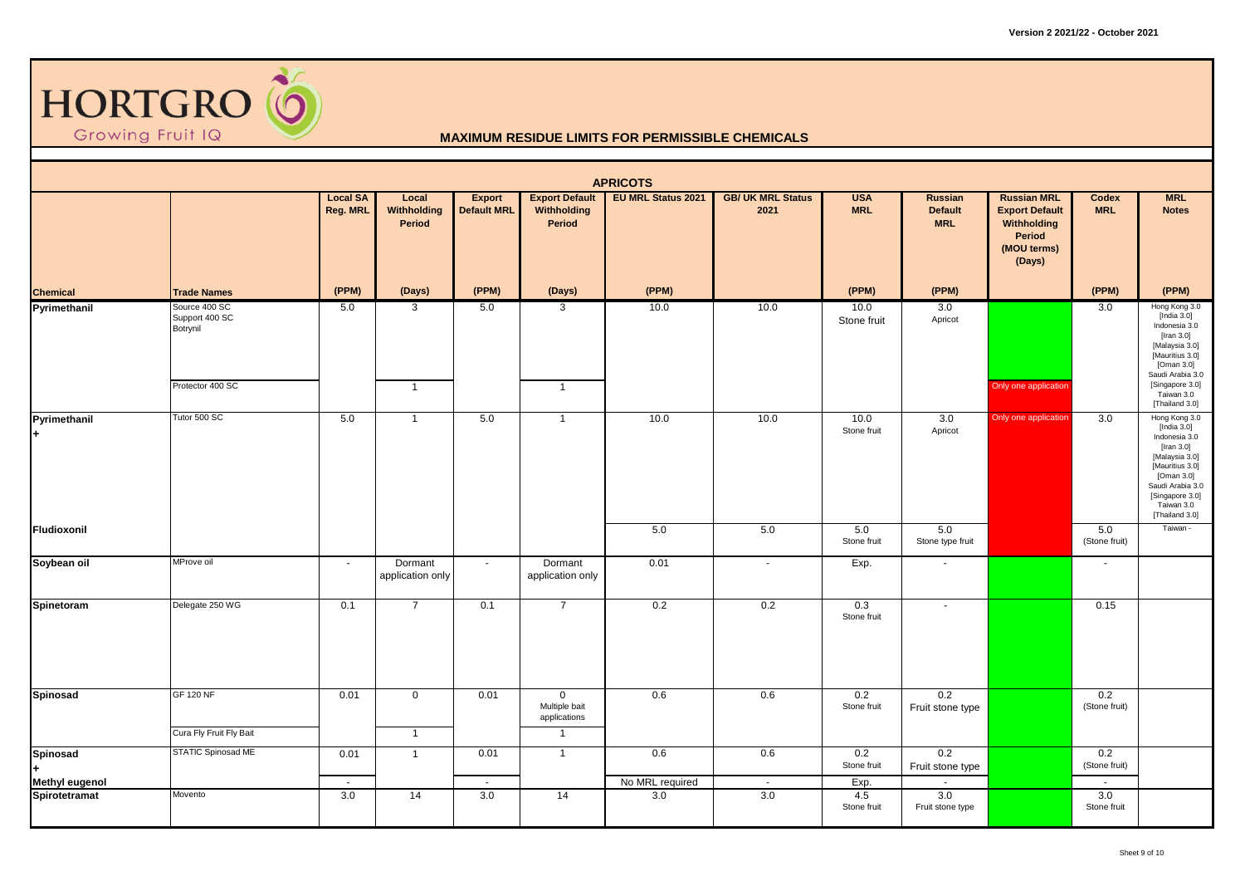

|                                        |                                                                 |                             |                                |                                     |                                                                   | <b>APRICOTS</b>        |                                  |                          |                                                |                                                                                               |                      |                                                                                                                                                                                          |
|----------------------------------------|-----------------------------------------------------------------|-----------------------------|--------------------------------|-------------------------------------|-------------------------------------------------------------------|------------------------|----------------------------------|--------------------------|------------------------------------------------|-----------------------------------------------------------------------------------------------|----------------------|------------------------------------------------------------------------------------------------------------------------------------------------------------------------------------------|
|                                        |                                                                 | <b>Local SA</b><br>Reg. MRL | Local<br>Withholding<br>Period | <b>Export</b><br><b>Default MRL</b> | <b>Export Default</b><br>Withholding<br>Period                    | EU MRL Status 2021     | <b>GB/ UK MRL Status</b><br>2021 | <b>USA</b><br><b>MRL</b> | <b>Russian</b><br><b>Default</b><br><b>MRL</b> | <b>Russian MRL</b><br><b>Export Default</b><br>Withholding<br>Period<br>(MOU terms)<br>(Days) | Codex<br><b>MRL</b>  | <b>MRL</b><br><b>Notes</b>                                                                                                                                                               |
|                                        | <b>Trade Names</b>                                              | (PPM)                       | (Days)                         | (PPM)                               | (Days)                                                            | (PPM)                  |                                  | (PPM)                    | (PPM)                                          |                                                                                               | (PPM)                | (PPM)                                                                                                                                                                                    |
| <b>Chemical</b><br>Pyrimethanil        | Source 400 SC<br>Support 400 SC<br>Botrynil<br>Protector 400 SC | 5.0                         | 3<br>$\overline{1}$            | 5.0                                 | $\mathbf{3}$<br>$\overline{1}$                                    | 10.0                   | 10.0                             | 10.0<br>Stone fruit      | 3.0<br>Apricot                                 | Only one application                                                                          | 3.0                  | Hong Kong 3.0<br>[India 3.0]<br>Indonesia 3.0<br>[Iran $3.0$ ]<br>[Malaysia 3.0]<br>[Mauritius 3.0]<br>[Oman 3.0]<br>Saudi Arabia 3.0<br>[Singapore 3.0]<br>Taiwan 3.0<br>[Thailand 3.0] |
| Pyrimethanil                           | Tutor 500 SC                                                    | 5.0                         | $\mathbf{1}$                   | 5.0                                 | $\overline{1}$                                                    | 10.0                   | 10.0                             | 10.0<br>Stone fruit      | 3.0<br>Apricot                                 | Only one application                                                                          | 3.0                  | Hong Kong 3.0<br>[India 3.0]<br>Indonesia 3.0<br>[Iran $3.0$ ]<br>[Malaysia 3.0]<br>[Mauritius 3.0]<br>[Oman 3.0]<br>Saudi Arabia 3.0<br>[Singapore 3.0]<br>Taiwan 3.0<br>[Thailand 3.0] |
| Fludioxonil                            |                                                                 |                             |                                |                                     |                                                                   | 5.0                    | 5.0                              | 5.0<br>Stone fruit       | 5.0<br>Stone type fruit                        |                                                                                               | 5.0<br>(Stone fruit) | Taiwan -                                                                                                                                                                                 |
| Soybean oil                            | MProve oil                                                      | $\sim$                      | Dormant<br>application only    | $\sim$                              | Dormant<br>application only                                       | 0.01                   | $\sim$                           | Exp.                     | $\blacksquare$                                 |                                                                                               | $\sim$               |                                                                                                                                                                                          |
| Spinetoram                             | Delegate 250 WG                                                 | 0.1                         | $\overline{7}$                 | 0.1                                 | $\overline{7}$                                                    | 0.2                    | 0.2                              | 0.3<br>Stone fruit       | $\blacksquare$                                 |                                                                                               | 0.15                 |                                                                                                                                                                                          |
| Spinosad                               | <b>GF 120 NF</b><br>Cura Fly Fruit Fly Bait                     | 0.01                        | $\mathbf 0$<br>$\overline{1}$  | 0.01                                | $\overline{0}$<br>Multiple bait<br>applications<br>$\overline{1}$ | 0.6                    | 0.6                              | 0.2<br>Stone fruit       | 0.2<br>Fruit stone type                        |                                                                                               | 0.2<br>(Stone fruit) |                                                                                                                                                                                          |
| Spinosad<br>H.                         | <b>STATIC Spinosad ME</b>                                       | 0.01                        | $\overline{1}$                 | 0.01                                | $\overline{1}$                                                    | 0.6                    | 0.6                              | 0.2<br>Stone fruit       | 0.2<br>Fruit stone type                        |                                                                                               | 0.2<br>(Stone fruit) |                                                                                                                                                                                          |
| <b>Methyl eugenol</b><br>Spirotetramat | Movento                                                         | $\sim$<br>3.0               | 14                             | $\sim$<br>3.0                       | 14                                                                | No MRL required<br>3.0 | $\sim$<br>3.0                    | Exp.<br>4.5              | 3.0                                            |                                                                                               | $\sim$<br>3.0        |                                                                                                                                                                                          |
|                                        |                                                                 |                             |                                |                                     |                                                                   |                        |                                  | Stone fruit              | Fruit stone type                               |                                                                                               | Stone fruit          |                                                                                                                                                                                          |